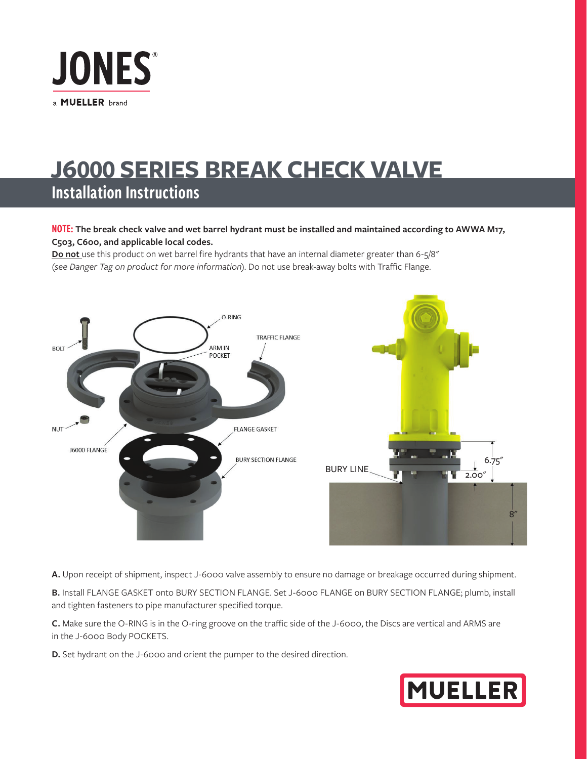

## **J6000 SERIES BREAK CHECK VALVE** Installation Instructions

## NOTE: **The break check valve and wet barrel hydrant must be installed and maintained according to AWWA M17, C503, C600, and applicable local codes.**

**Do not** use this product on wet barrel fire hydrants that have an internal diameter greater than 6-5/8" (*see Danger Tag on product for more information*). Do not use break-away bolts with Traffic Flange.



**A.** Upon receipt of shipment, inspect J-6000 valve assembly to ensure no damage or breakage occurred during shipment.

**B.** Install FLANGE GASKET onto BURY SECTION FLANGE. Set J-6000 FLANGE on BURY SECTION FLANGE; plumb, install and tighten fasteners to pipe manufacturer specified torque.

**C.** Make sure the O-RING is in the O-ring groove on the traffic side of the J-6000, the Discs are vertical and ARMS are in the J-6000 Body POCKETS.

**D.** Set hydrant on the J-6000 and orient the pumper to the desired direction.